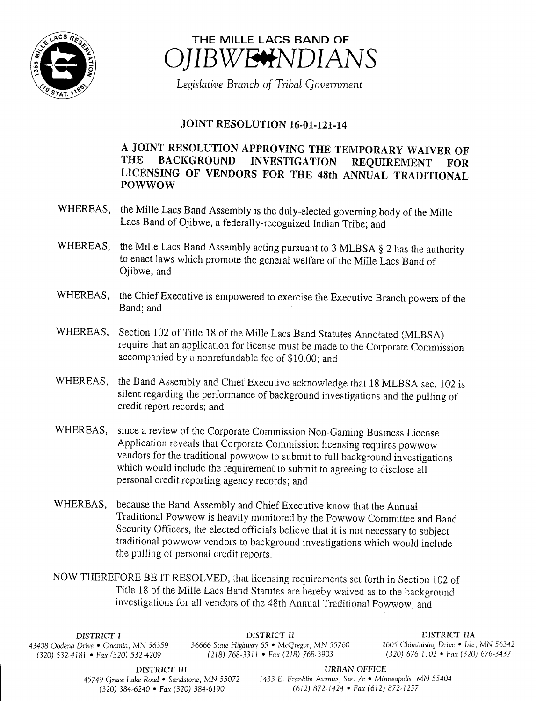



Legislative Branch of Tribal Government

## JOINT RESOLUTION 16-01-121-14

## A JOINT RESOLUTION APPROVING THE TEMPORARY WAIVER OF THE BACKGROUND INVESTIGATION REOUIREMENT FOR THE BACKGROUND INVESTIGATION REQUIREMENT FOR LICENSING OF VENDORS FOR THE 48th ANNUAL TRADITIONAL POWWOW

- WHEREAS, the Mille Lacs Band Assembly is the duly-elected governing body of the Mille Lacs Band of Ojibwe, a federally-recognized Indian Tribe; and
- WHEREAS, the Mille Lacs Band Assembly acting pursuant to 3 MLBSA § 2 has the authority to enact laws which promote the general welfare of the Mille Lacs Band of Ojibwe; and
- WHEREAS, the Chief Executive is empowered to exercise the Executive Branch powers of the Band; and
- WHEREAS, Section <sup>102</sup> of Title <sup>18</sup> of the Mille Lacs Band Statutes Annotated (MLBSA) require that an application for license must be made to the Corporate Commission accompanied by a nonrefundable fee of \$10.00; and
- WHEREAS, the Band Assembly and Chief Executive acknowledge that <sup>18</sup> MLBSA sec. 102 is silent regarding the performance of background investigations and the pulling of credit report records; and
- WHEREAS, since a review of the Corporate Commission Non-Gaming Business License Application reveals that Corporate Commission licensing requires powwow vendors for the traditional powwow to submit to full background investigations which would include the requirement to submit to agreeing to disclose all personal credit reporting agency records; and
- WHEREAS, because the Band Assembly and Chief Executive know that the Annual Traditional Powwow is heavily monitored by the Powwow Committee and Band Security Officers, the elected officials believe that it is not necessary to subject traditional powwow vendors to background investigations which would include the pulling of personal credit reports.
- NOW THEREFORE BE IT RESOLVED, that licensing requirements set forth in Section 102 of Title 18 of the Mille Lacs Band Statutes are hereby waived as to the background investigations for all vendors of the 48th Annual Traditional Powwow; and

DISTRICT I DISTRICT II DISTRICT II<br>Drive • Onamia, MN 56359 36666 State Highway 65 • McGregor, MN 55760 2605 Chiminising Drive • Isle, MN 56342 43408 Oodena Drive • Onamia, MN 56359 36666 State Highway 65 • McGregor, MN 55760 (320) 532-4181 • Fax (320) 532-4209 (218) 768-3311 • Fax (218) 768-3903

320) 532- 4181 • Fax( 320) 532- 4209 218) 768- 3311 • Fax( 218) 768- 3903 320) 676- 1102 • Fax( 320) 676- 3432

**DISTRICT III**<br>45749 Grace Lake Road • Sandstone, MN 55072 1433 E. Franklin Avenue, Ste. 7c • Min  $(320)$  384-6240 • Fax $(320)$  384-6190

1433 E. Franklin Avenue, Ste. 7c • Minneapolis, MN 55404<br>(612) 872-1424 • Fax (612) 872-1257